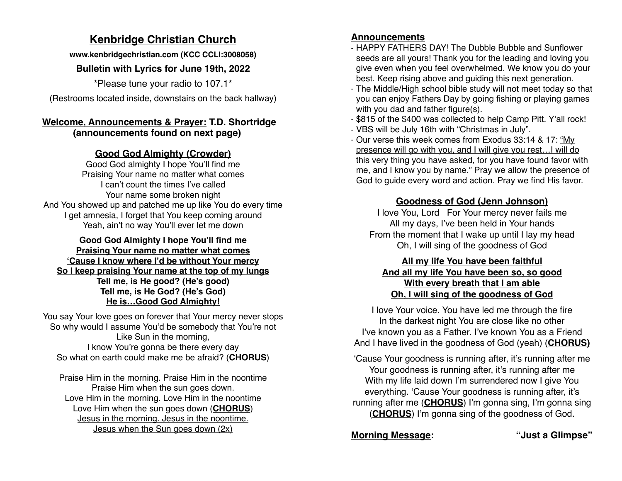# **Kenbridge Christian Church**

**[www.kenbridgechristian.com](http://www.kenbridgechristian.com) (KCC CCLI:3008058)**

### **Bulletin with Lyrics for June 19th, 2022**

\*Please tune your radio to 107.1\*

(Restrooms located inside, downstairs on the back hallway)

### **Welcome, Announcements & Prayer: T.D. Shortridge (announcements found on next page)**

### **Good God Almighty (Crowder)**

Good God almighty I hope You'll find me Praising Your name no matter what comes I can't count the times I've called Your name some broken night And You showed up and patched me up like You do every time I get amnesia, I forget that You keep coming around Yeah, ain't no way You'll ever let me down

#### **Good God Almighty I hope You'll find me Praising Your name no matter what comes 'Cause I know where I'd be without Your mercy So I keep praising Your name at the top of my lungs Tell me, is He good? (He's good) Tell me, is He God? (He's God) He is…Good God Almighty!**

You say Your love goes on forever that Your mercy never stops So why would I assume You'd be somebody that You're not Like Sun in the morning, I know You're gonna be there every day So what on earth could make me be afraid? (**CHORUS**)

Praise Him in the morning. Praise Him in the noontime Praise Him when the sun goes down. Love Him in the morning. Love Him in the noontime Love Him when the sun goes down (**CHORUS**) Jesus in the morning. Jesus in the noontime. Jesus when the Sun goes down (2x)

### **Announcements**

- HAPPY FATHERS DAY! The Dubble Bubble and Sunflower seeds are all yours! Thank you for the leading and loving you give even when you feel overwhelmed. We know you do your best. Keep rising above and guiding this next generation.
- The Middle/High school bible study will not meet today so that you can enjoy Fathers Day by going fishing or playing games with you dad and father figure(s).
- \$815 of the \$400 was collected to help Camp Pitt. Y'all rock!
- VBS will be July 16th with "Christmas in July".
- Our verse this week comes from Exodus 33:14 & 17: "My presence will go with you, and I will give you rest…I will do this very thing you have asked, for you have found favor with me, and I know you by name." Pray we allow the presence of God to guide every word and action. Pray we find His favor.

# **Goodness of God (Jenn Johnson)**

I love You, Lord For Your mercy never fails me All my days, I've been held in Your hands From the moment that I wake up until I lay my head Oh, I will sing of the goodness of God

#### **All my life You have been faithful And all my life You have been so, so good With every breath that I am able Oh, I will sing of the goodness of God**

I love Your voice. You have led me through the fire In the darkest night You are close like no other I've known you as a Father. I've known You as a Friend And I have lived in the goodness of God (yeah) (**CHORUS)**

'Cause Your goodness is running after, it's running after me Your goodness is running after, it's running after me With my life laid down I'm surrendered now I give You everything. 'Cause Your goodness is running after, it's running after me (**CHORUS**) I'm gonna sing, I'm gonna sing (**CHORUS**) I'm gonna sing of the goodness of God.

# **Morning Message: "Just a Glimpse"**